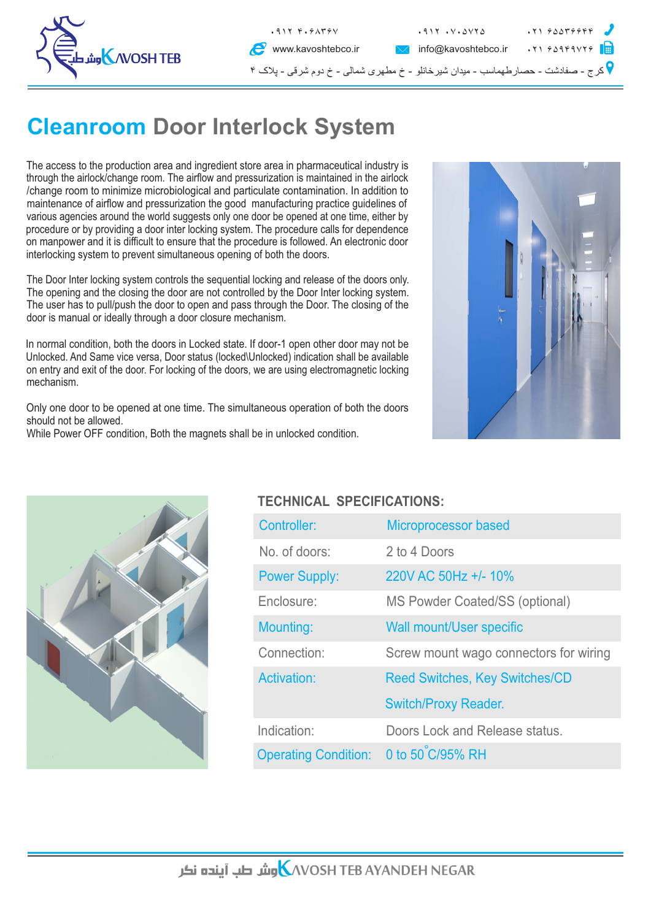

## **Cleanroom Door Interlock System**

The access to the production area and ingredient store area in pharmaceutical industry is through the airlock/change room. The airflow and pressurization is maintained in the airlock /change room to minimize microbiological and particulate contamination. In addition to maintenance of airflow and pressurization the good manufacturing practice guidelines of various agencies around the world suggests only one door be opened at one time, either by procedure or by providing a door inter locking system. The procedure calls for dependence on manpower and it is difficult to ensure that the procedure is followed. An electronic door interlocking system to prevent simultaneous opening of both the doors.

The Door Inter locking system controls the sequential locking and release of the doors only. The opening and the closing the door are not controlled by the Door Inter locking system. The user has to pull/push the door to open and pass through the Door. The closing of the door is manual or ideally through a door closure mechanism.

In normal condition, both the doors in Locked state. If door-1 open other door may not be Unlocked. And Same vice versa, Door status (locked\Unlocked) indication shall be available on entry and exit of the door. For locking of the doors, we are using electromagnetic locking mechanism.

Only one door to be opened at one time. The simultaneous operation of both the doors should not be allowed.

While Power OFF condition, Both the magnets shall be in unlocked condition.





## **TECHNICAL SPECIFICATIONS:**

| Controller:                           | Microprocessor based                   |
|---------------------------------------|----------------------------------------|
| No. of doors:                         | 2 to 4 Doors                           |
| <b>Power Supply:</b>                  | 220V AC 50Hz +/- 10%                   |
| Enclosure:                            | MS Powder Coated/SS (optional)         |
| Mounting:                             | <b>Wall mount/User specific</b>        |
| Connection:                           | Screw mount wago connectors for wiring |
| <b>Activation:</b>                    | <b>Reed Switches, Key Switches/CD</b>  |
|                                       | <b>Switch/Proxy Reader.</b>            |
| Indication:                           | Doors Lock and Release status.         |
| Operating Condition: 0 to 50 C/95% RH |                                        |